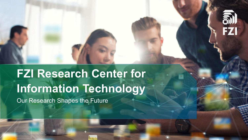

# **FZI Research Center for Information Technology** Our Research Shapes the Future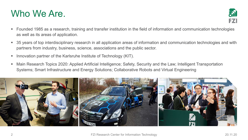#### Who We Are.



- Founded 1985 as a research, training and transfer institution in the field of information and communication technologies as well as its areas of application.
- 35 years of top interdisciplinary research in all application areas of information and communication technologies and with partners from industry, business, science, associations and the public sector.
- Innovation partner of the Karlsruhe Institute of Technology (KIT).
- Main Research Topics 2020: Applied Artificial Intelligence; Safety, Security and the Law; Intelligent Transportation Systems; Smart Infrastructure and Energy Solutions; Collaborative Robots and Virtual Engineering

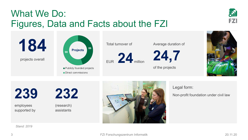### What We Do: Figures, Data and Facts about the FZI



Total turnover of

EUR **24** million

Average duration of



of the projects



발

**FZI** 

**239** 

employees supported by **232**

(research) assistants



Legal form:

Non-profit foundation under civil law

*Stand: 2019*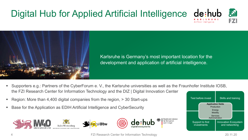## Digital Hub for Applied Artificial Intelligence



副



Karlsruhe is Germany's most important location for the development and application of artificial intelligence.

- § Supporters e.g.: Partners of the CyberForum e. V., the Karlsruhe universities as well as the Fraunhofer Institute IOSB, the FZI Research Center for Information Technology and the DIZ | Digital Innovation Center
- § Region: More than 4,400 digital companies from the region, > 30 Start-ups
- § Base for the Application as EDIH Artificial Intelligence and CyberSecurity





4 FZI Research Center for Information Technology 20.11.20